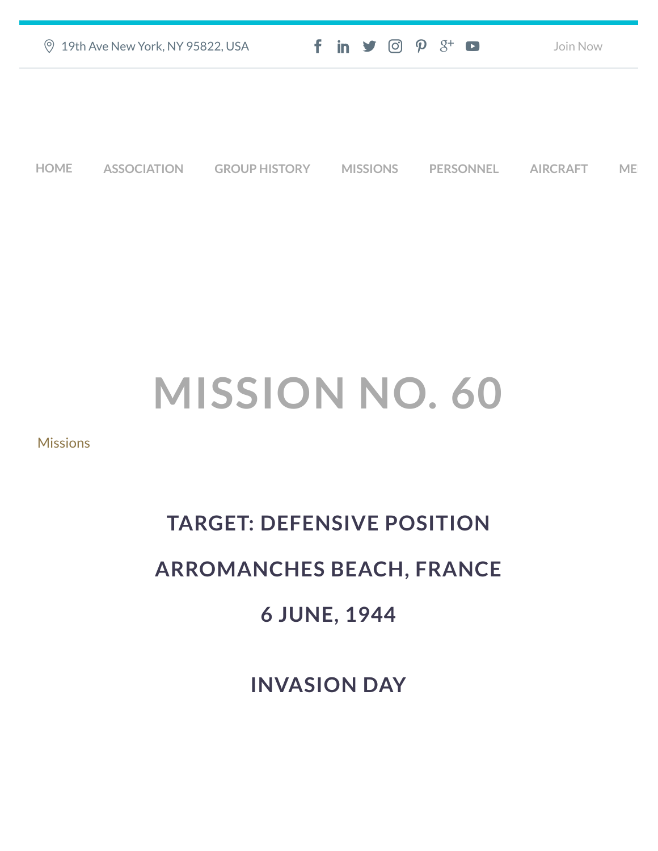| ◎ 19th Ave New York, NY 95822, USA | $f$ in $\blacktriangleright$ $\heartsuit$ $\heartsuit$ $\aleph^+$ $\blacksquare$ | Join Now |
|------------------------------------|----------------------------------------------------------------------------------|----------|
|                                    |                                                                                  |          |
|                                    |                                                                                  |          |

**[HOME](https://457thbombgroupassoc.org/)** [ASSOCIATION](https://457thbombgroupassoc.org/mission-no-60/#) [GROUP HISTORY](https://457thbombgroupassoc.org/mission-no-60/#) [MISSIONS](https://457thbombgroupassoc.org/mission-no-60/#) [PERSONNEL](https://457thbombgroupassoc.org/mission-no-60/#) [AIRCRAFT](https://457thbombgroupassoc.org/mission-no-60/#) [MED](https://457thbombgroupassoc.org/mission-no-60/#)

## **MISSION NO. 60**

**[Missions](https://457thbombgroupassoc.org/category/missions/)** 

## **TARGET: DEFENSIVE POSITION**

## **ARROMANCHES BEACH, FRANCE**

## **6 JUNE, 1944**

**INVASION DAY**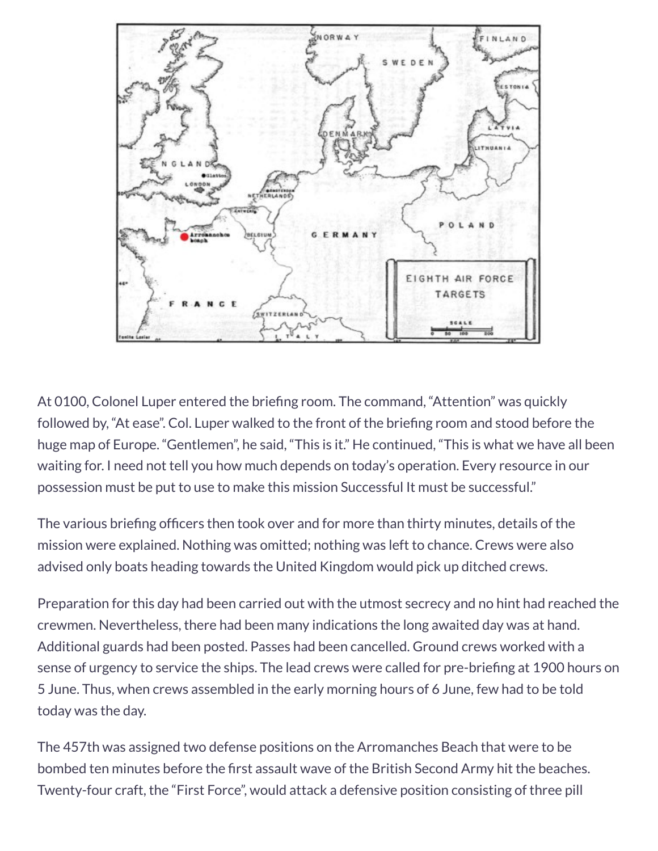

At 0100, Colonel Luper entered the briefing room. The command, "Attention" was quickly followed by, "At ease". Col. Luper walked to the front of the briefing room and stood before the huge map of Europe. "Gentlemen", he said, "This is it." He continued, "This is what we have all been waiting for. I need not tell you how much depends on today's operation. Every resource in our possession must be put to use to make this mission Successful It must be successful."

The various briefing officers then took over and for more than thirty minutes, details of the mission were explained. Nothing was omitted; nothing was left to chance. Crews were also advised only boats heading towards the United Kingdom would pick up ditched crews.

Preparation for this day had been carried out with the utmost secrecy and no hint had reached the crewmen. Nevertheless, there had been many indications the long awaited day was at hand. Additional guards had been posted. Passes had been cancelled. Ground crews worked with a sense of urgency to service the ships. The lead crews were called for pre-briefing at 1900 hours on 5 June. Thus, when crews assembled in the early morning hours of 6 June, few had to be told today was the day.

The 457th was assigned two defense positions on the Arromanches Beach that were to be bombed ten minutes before the first assault wave of the British Second Army hit the beaches. Twenty-four craft, the "First Force", would attack a defensive position consisting of three pill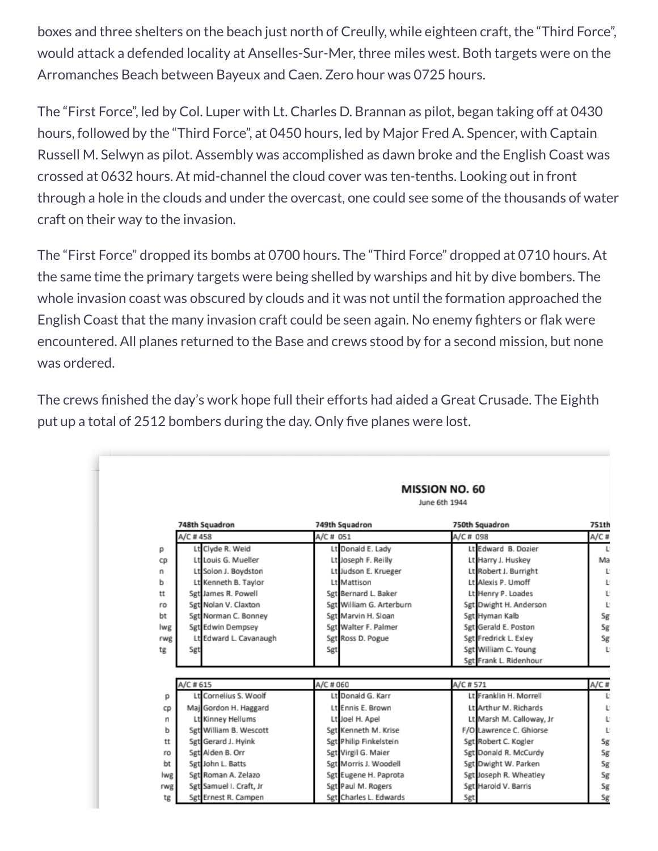boxes and three shelters on the beach just north of Creully, while eighteen craft, the "Third Force", would attack a defended locality at Anselles-Sur-Mer, three miles west. Both targets were on the Arromanches Beach between Bayeux and Caen. Zero hour was 0725 hours.

The "First Force", led by Col. Luper with Lt. Charles D. Brannan as pilot, began taking off at 0430 hours, followed by the "Third Force", at 0450 hours, led by Major Fred A. Spencer, with Captain Russell M. Selwyn as pilot. Assembly was accomplished as dawn broke and the English Coast was crossed at 0632 hours. At mid-channel the cloud cover was ten-tenths. Looking out in front through a hole in the clouds and under the overcast, one could see some of the thousands of water craft on their way to the invasion.

The "First Force" dropped its bombs at 0700 hours. The "Third Force" dropped at 0710 hours. At the same time the primary targets were being shelled by warships and hit by dive bombers. The whole invasion coast was obscured by clouds and it was not until the formation approached the English Coast that the many invasion craft could be seen again. No enemy fighters or flak were encountered. All planes returned to the Base and crews stood by for a second mission, but none was ordered.

The crews finished the day's work hope full their efforts had aided a Great Crusade. The Eighth put up a total of 2512 bombers during the day. Only five planes were lost.

|     | <b>MISSION NO. 60</b><br>June 6th 1944 |                         |           |                          |           |                          |         |
|-----|----------------------------------------|-------------------------|-----------|--------------------------|-----------|--------------------------|---------|
|     |                                        | 748th Squadron          |           | 749th Squadron           |           | 750th Squadron           | 751th   |
|     | A/C #458                               |                         | A/C # 051 |                          | A/C # 098 |                          | $A/C$ # |
| р   |                                        | Lt Clyde R. Weid        |           | Lt Donald E. Lady        |           | Lt Edward B. Dozier      | Ľ       |
| CD  |                                        | Lt Louis G. Mueller     |           | Lt Joseph F. Reilly      |           | Lt Harry J. Huskey       | Ma      |
| n   |                                        | Lt Solon J. Boydston    |           | Lt Judson E. Krueger     |           | Lt Robert J. Burright    | L.      |
| ь   |                                        | Lt Kenneth B. Taylor    |           | Lt Mattison              |           | Lt Alexis P. Umoff       | L.      |
| tt  |                                        | Sgt James R. Powell     |           | Sgt Bernard L. Baker     |           | Lt Henry P. Loades       | L.      |
| ro  |                                        | Set Nolan V. Claxton    |           | Set William G. Arterburn |           | Sgt Dwight H. Anderson   | L.      |
| bt  |                                        | Sgt Norman C. Bonney    |           | Set Marvin H. Sloan      |           | Sgt Hyman Kalb           | Sg      |
| lwg |                                        | Sgt Edwin Dempsey       |           | Sgt Walter F. Palmer     |           | Sgt Gerald E. Poston     | Sg      |
| rwg |                                        | Lt Edward L. Cavanaugh  |           | Sgt Ross D. Pogue        |           | Sgt Fredrick L. Exley    | Sg      |
| tg  | Sgt                                    |                         | Sgt       |                          |           | Sgt William C. Young     | L.      |
|     |                                        |                         |           |                          |           | Sgt Frank L. Ridenhour   |         |
|     | A/C #615                               |                         | A/C # 060 |                          | A/C #571  |                          | A/C#    |
| p   |                                        | Lt Cornelius S. Woolf   |           | Lt Donald G. Karr        |           | Lt Franklin H. Morrell   | L.      |
| CD  |                                        | Maj Gordon H. Haggard   |           | Lt Ennis E. Brown        |           | Lt Arthur M. Richards    | Ľ       |
| n   |                                        | Lt Kinney Hellums       |           | Lt Joel H. Apel          |           | Lt Marsh M. Calloway, Jr | L.      |
| ь   |                                        | Set William B. Wescott  |           | Sgt Kenneth M. Krise     |           | F/O Lawrence C. Ghiorse  | L.      |
| tt  |                                        | Sgt Gerard J. Hyink     |           | Sgt Philip Finkelstein   |           | Sgt Robert C. Kogler     | Sg      |
| ro  |                                        | Sgt Alden B. Orr        |           | Sgt Virgil G. Maier      |           | Sgt Donald R. McCurdy    | Sg      |
| bt  |                                        | Sgt John L. Batts       |           | Sgt Morris J. Woodell    |           | Sgt Dwight W. Parken     | Sg      |
| lwg |                                        | Sgt Roman A. Zelazo     |           | Sgt Eugene H. Paprota    |           | Sgt Joseph R. Wheatley   | Sg      |
|     |                                        | Sgt Samuel I. Craft, Jr |           | Sgt Paul M. Rogers       |           | Sgt Harold V. Barris     | Sg      |
| rwg |                                        |                         |           |                          |           |                          |         |